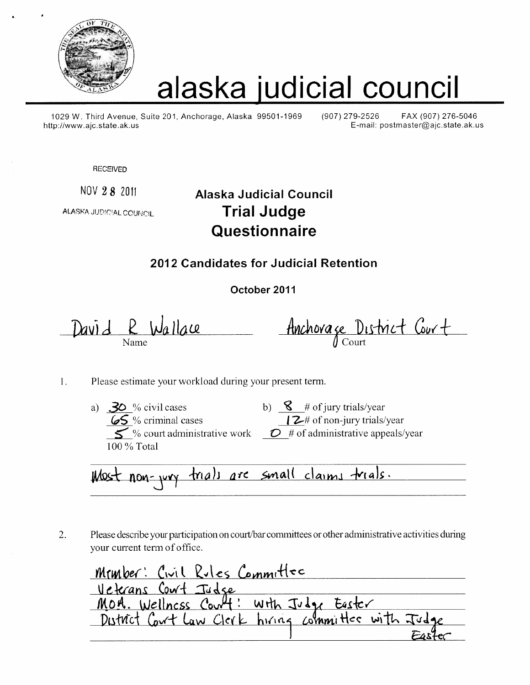

# alaska judicial council

1029 W. Third Avenue, Suite 201, Anchorage, Alaska 99501-1969 http://www.ajc.state.ak.us

(907) 279-2526 FAX (907) 276-5046 E-mail: postmaster@ajc.state.ak.us

**RECEIVED** 

NOV 28 2011

**ALASKA JUDICIAL COLINCIL** 

# **Alaska Judicial Council Trial Judge** Questionnaire

### 2012 Candidates for Judicial Retention

October 2011

David R Wallace

Anchorage District Court

- Please estimate your workload during your present term.  $1.$ 
	- **30**% civil cases<br> **69**% criminal cases<br> **69**% criminal cases<br> **69**% court administrative work<br> **69**% court administrative work<br> **69**% court administrative work<br> **69**% court administrative work<br> **69**% court administrative a)  $30$  % civil cases 100 % Total
		-

Most non-jury trials are small claims trials.

Please describe your participation on court/bar committees or other administrative activities during  $\overline{2}$ . your current term of office.

Member: Civil Rules Committee Veterans Cowt Judge<br>MOA. Wellness Cowt: with Judge Easter District Court Law Clerk hiring committee with Ju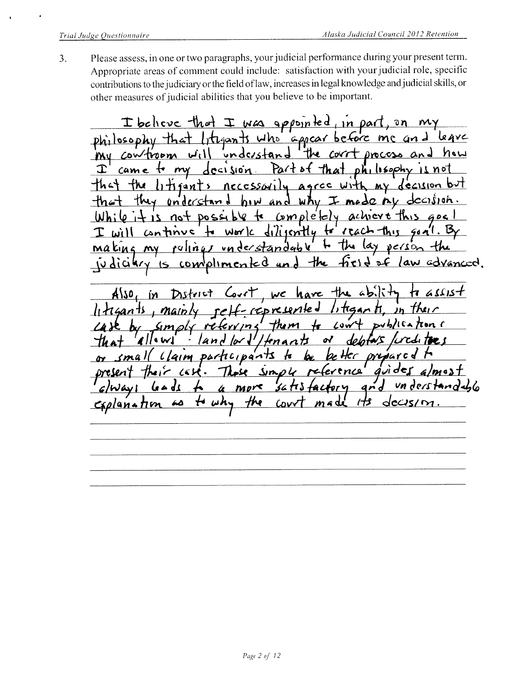Please assess, in one or two paragraphs, your judicial performance during your present term.  $3.$ Appropriate areas of comment could include: satisfaction with your judicial role, specific contributions to the judiciary or the field of law, increases in legal knowledge and judicial skills, or other measures of judicial abilities that you believe to be important.

I believe that I was appointed in part,  $\mathfrak{d}$   $\mathfrak{n}$ Irtegants who appear before me  $ph_1$  osophy that leave understand My controom the corrt process how and ا ۱ نس  $decision$  $ph_1$  isophy Part of  $+$  my  $11M0$ Œ came That Litigants nec cssorily agree with my decision e nu  $dcci$ jon they understand and  $why \pm m$ completely achieve this  $not$  possible to  $21 + i$ dilisently to reach  $an$ tinue ا است $\mathcal{V}$  $WbV$  $\n *vector* + *the*\n$ akına  $my$ rulings understandable <u>plimented</u> and the advanced. s law COM  $d$ iakry is

Hre  $45.1$ hare assist A\SO **D** WC represented litigan ti  $1114$ ants Main  $Jh$ DVb/ICA  $smals$  $+$ *hom* Low re ハつく  $1$  $|$   $\sim$ Iena nĦ  $Lla$ misar c  $partc<sub>1</sub>$ smal guider reference  $sin \rho$ 4  $ma3$  $mpr<$ 56 TT S ar d ره م ما 4 Caplanation uh. Hre dccis ھە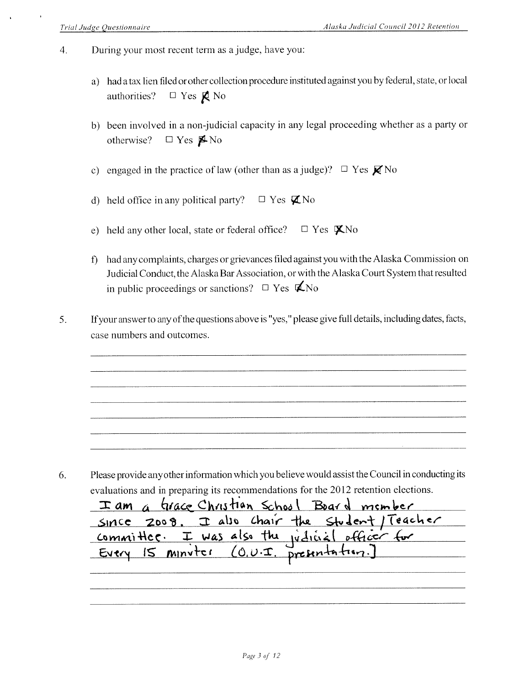- During your most recent term as a judge, have you:  $\overline{4}$ .
	- a) had a tax lien filed or other collection procedure instituted against you by federal, state, or local  $\Box$  Yes  $R$  No authorities?
	- b) been involved in a non-judicial capacity in any legal proceeding whether as a party or  $\Box$  Yes  $\n **W**$  No otherwise?
	- c) engaged in the practice of law (other than as a judge)?  $\Box$  Yes  $\cancel{\mathcal{X}}$  No
	- d) held office in any political party?  $\Box$  Yes  $\nabla$ No
	- e) held any other local, state or federal office?  $\Box$  Yes  $\mathbf{X}$ No
	- f) had any complaints, charges or grievances filed against you with the Alaska Commission on Judicial Conduct, the Alaska Bar Association, or with the Alaska Court System that resulted in public proceedings or sanctions?  $\Box$  Yes  $\mathbf{\mathcal{L}}$ No
- 5. If your answer to any of the questions above is "yes," please give full details, including dates, facts, case numbers and outcomes.

Please provide any other information which you believe would assist the Council in conducting its 6. evaluations and in preparing its recommendations for the 2012 retention elections.

| I am a trace Christian School Board member                                                       |  |
|--------------------------------------------------------------------------------------------------|--|
| SINCE ZOO8. I also Chair the Student/Teacher                                                     |  |
|                                                                                                  |  |
| <u>committer. I was also the judicial officer for</u><br>Every 15 minuter (O.U.I. presentation.) |  |
|                                                                                                  |  |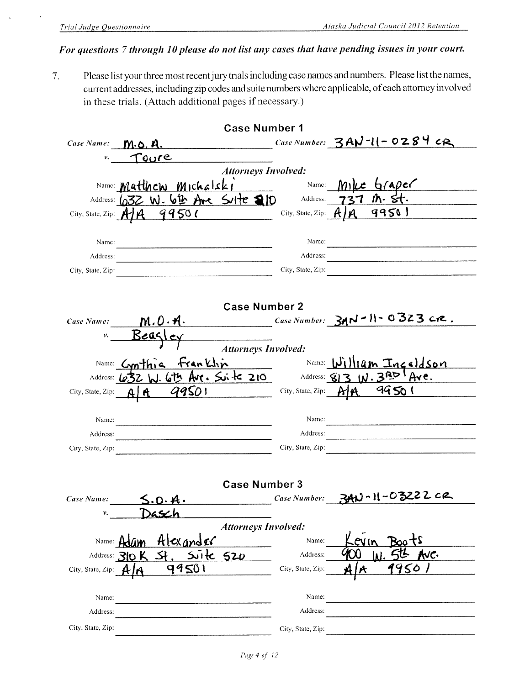l,

#### For questions 7 through 10 please do not list any cases that have pending issues in your court.

Please list your three most recent jury trials including case names and numbers. Please list the names,  $7.$ current addresses, including zip codes and suite numbers where applicable, of each attorney involved in these trials. (Attach additional pages if necessary.)

|                             | <b>Case Number 1</b>              |                    |                                         |
|-----------------------------|-----------------------------------|--------------------|-----------------------------------------|
| Case Name:                  | <u>M.O.A.</u>                     |                    | Case Number: $3AV -11 - 0284$ CR        |
| ν.                          | Toure                             |                    |                                         |
|                             | <b>Attorneys Involved:</b>        |                    |                                         |
|                             | Name: Matthew Michalski           | Name:              | $6$ (ADCC                               |
|                             | Address: 632 W. 6th Are Suite 210 | Address:           |                                         |
| City, State, Zip: $A$ / $A$ | 99501                             | City, State, Zip:  | 99501                                   |
|                             |                                   |                    |                                         |
| Name:                       |                                   | Name:              |                                         |
| Address:                    |                                   | Address:           |                                         |
| City, State, Zip:           |                                   | City, State, Zip:  |                                         |
|                             |                                   |                    |                                         |
|                             |                                   |                    |                                         |
|                             | <b>Case Number 2</b>              |                    |                                         |
| Case Name:                  | <u>m.o</u> .a.                    |                    | $Case Number: 3AN - 11 - 0323$ cre.     |
| ν.                          |                                   |                    |                                         |
|                             | <b>Attorneys Involved:</b>        |                    |                                         |
|                             | trankhin<br>Name: $GnThn$         | Name: $\mathbf{N}$ | <u>Iam Inceldson</u>                    |
| Address: <b>632</b>         |                                   |                    | Arc. Sinte 210 Address: 813 W. 3RD Are. |
| City, State, Zip:           | <u>99501</u>                      | City, State, Zip:  | 99501                                   |
|                             |                                   |                    |                                         |
| Name:                       |                                   | Name:              |                                         |
| Address:                    |                                   | Address:           |                                         |
| City, State, Zip:           |                                   | City, State, Zip:  |                                         |
|                             |                                   |                    |                                         |
|                             |                                   |                    |                                         |
|                             | <b>Case Number 3</b>              |                    | U-11-03222 cr                           |
| Case Name:                  | 5.0.4.                            | Case Number:       |                                         |
| ν.                          |                                   |                    |                                         |
|                             | <b>Attorneys Involved:</b>        |                    |                                         |
| Name: $\mu$                 | Alexander                         | Name:              |                                         |
|                             | 520<br>Address: 310 K             | Address:           | ve.                                     |
| City, State, Zip:           | 99501                             | City, State, Zip:  | 450                                     |
|                             |                                   |                    |                                         |
| Name:                       |                                   | Name:              |                                         |
| Address:                    |                                   | Address:           |                                         |
| City, State, Zip:           |                                   | City, State, Zip:  |                                         |
|                             |                                   |                    |                                         |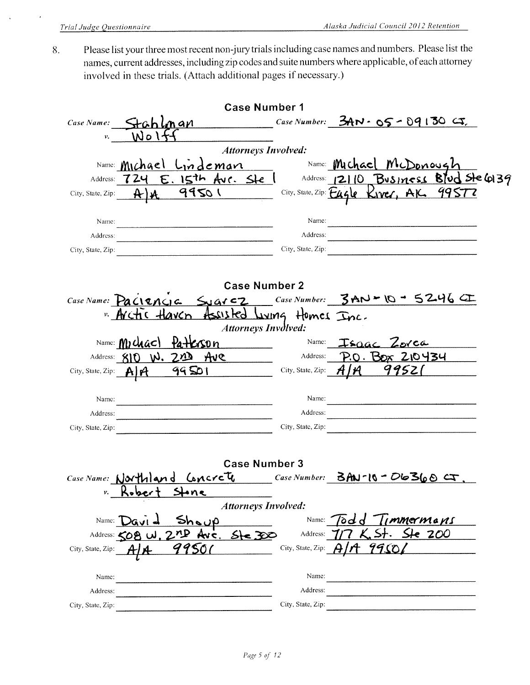Please list your three most recent non-jury trials including case names and numbers. Please list the 8. names, current addresses, including zip codes and suite numbers where applicable, of each attorney involved in these trials. (Attach additional pages if necessary.)

| <b>Case Number 1</b>                                              |                                                               |
|-------------------------------------------------------------------|---------------------------------------------------------------|
| Case Name:<br>Stahlman                                            | Case Number: $3AN \cdot 05 - 09130$ $G$ .                     |
| Wol<br>ν.                                                         |                                                               |
| <b>Attorneys Involved:</b>                                        |                                                               |
| Name: Michael                                                     | Lindeman Name: Michael McDonough                              |
| $E.$ 15th Avr. Ste $\vert$<br>724<br>Address:                     | Address: 12110 Business Blud Ste 6139                         |
| 99501<br>$\mathbf{A}$<br>City, State, Zip:                        | City, State, Zip: Eagle Kiver, AK. 99572                      |
|                                                                   |                                                               |
| Name:                                                             | Name:                                                         |
| Address:                                                          | Address:                                                      |
| City, State, Zip:                                                 | City, State, Zip:                                             |
|                                                                   |                                                               |
| <b>Case Number 2</b>                                              |                                                               |
|                                                                   | Case Name: Paciencia Syarcz Case Number: $3AD - 0 - 5246$     |
| " Arctic Haven Assisted Juing Homes Inc.                          |                                                               |
| <b>Attorneys Involved:</b>                                        |                                                               |
| Name: $M1$ chac) $\{a + k\}$ cson                                 | Name:<br>Isaac Zorca                                          |
| Address: 810 W. 220 Ave                                           | <u> P.O. Box 210434</u><br>Address:                           |
| <u>99501</u><br>City, State, Zip: $\mathbf{A}$ $\mathbf{\hat{H}}$ | 99521<br>City, State, Zip:                                    |
|                                                                   |                                                               |
| Name:                                                             | Name:                                                         |
| Address:                                                          | <u> 1980 - Jan Barat, Amerikaansk politiker (</u><br>Address: |
| City, State, Zip:                                                 | City, State, Zip:                                             |
|                                                                   |                                                               |
|                                                                   |                                                               |
| <b>Case Number 3</b>                                              |                                                               |
| Case Name: Northland Concrete                                     | Case Number: $\beta$ AN-10 - D6360 CT,                        |
| •n e<br>ν.                                                        |                                                               |
| <b>Attorneys Involved:</b>                                        |                                                               |
| Name:                                                             | <i>Immermans</i><br>Name:<br>od d'                            |
| $5 - 32$<br>Address: < ∩ P<br>N C.                                | 200<br>Address:                                               |
| City, State, Zip:                                                 | City, State, Zip:                                             |
|                                                                   |                                                               |
| Name:                                                             | Name:                                                         |
| Address:                                                          | Address:                                                      |
| City, State, Zip:                                                 | City, State, Zip:                                             |
|                                                                   |                                                               |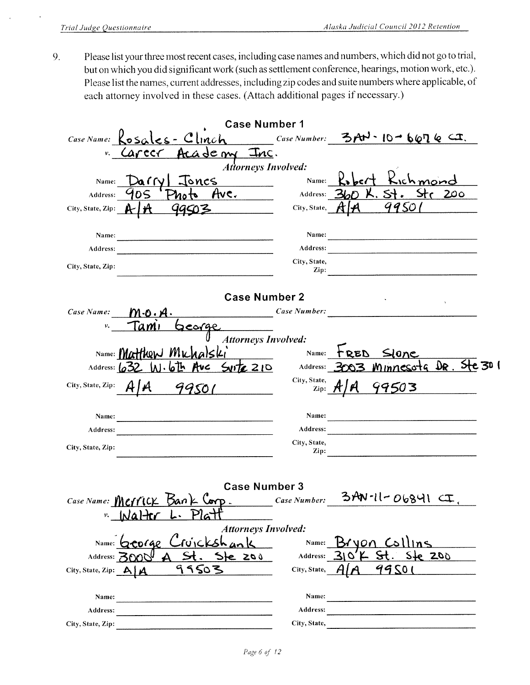Please list your three most recent cases, including case names and numbers, which did not go to trial, 9. but on which you did significant work (such as settlement conference, hearings, motion work, etc.). Please list the names, current addresses, including zip codes and suite numbers where applicable, of each attorney involved in these cases. (Attach additional pages if necessary.)

|                               | <b>Case Number 1</b>                                               |                      |              |                                                                                                                       |  |
|-------------------------------|--------------------------------------------------------------------|----------------------|--------------|-----------------------------------------------------------------------------------------------------------------------|--|
| Case Name:                    | $s_{\text{obs}} = 10 - 6676$ Clinch Case Number: 3AN-10-6676 CT.   |                      |              |                                                                                                                       |  |
| ν.                            | <u>ademy Inc.</u><br>carccr                                        |                      |              |                                                                                                                       |  |
|                               | <b>Attorneys Involved:</b>                                         |                      |              |                                                                                                                       |  |
| Name:                         | Jones<br>arrv                                                      | Name:                |              |                                                                                                                       |  |
| Address:                      | <u>Ave. __</u><br>10S                                              | Address: 3           |              | 200                                                                                                                   |  |
| City, State, Zip: $\bigoplus$ | 99503                                                              | City, State,         |              | 9950                                                                                                                  |  |
|                               |                                                                    |                      |              |                                                                                                                       |  |
| Name:                         |                                                                    | Name:<br>Address:    |              |                                                                                                                       |  |
| Address:                      |                                                                    | City, State,         |              |                                                                                                                       |  |
| City, State, Zip:             |                                                                    | Zip:                 |              |                                                                                                                       |  |
|                               |                                                                    |                      |              |                                                                                                                       |  |
|                               | <b>Case Number 2</b>                                               |                      |              |                                                                                                                       |  |
| Case Name:                    | $\frac{Case \; Number:}{Case \; Number:}$<br>$M \cdot o \cdot A$ . |                      |              |                                                                                                                       |  |
| ν.                            | George<br>lam                                                      |                      |              |                                                                                                                       |  |
|                               | <b>Attorneys Involved:</b>                                         |                      |              |                                                                                                                       |  |
|                               | Name: <i>Mr</i> Hthow Mv                                           | Name:                | <b>L DED</b> | Slone                                                                                                                 |  |
| Address: 65                   | $Sutz$ 210 $\frac{1}{2}$ Address:                                  |                      |              | <u>Minnesota Dr. Ste 30</u>                                                                                           |  |
| City, State, Zip:             | $\boldsymbol{\mu}$<br>99501                                        | City, State,<br>Zip: |              | 99503                                                                                                                 |  |
|                               |                                                                    |                      |              |                                                                                                                       |  |
| <b>Name:</b>                  |                                                                    | Name:                |              |                                                                                                                       |  |
| Address:                      |                                                                    | Address:             |              | the contract of the contract of the contract of the contract of the contract of                                       |  |
| City, State, Zip:             |                                                                    | City, State,<br>Zip: |              |                                                                                                                       |  |
|                               |                                                                    |                      |              |                                                                                                                       |  |
|                               |                                                                    |                      |              |                                                                                                                       |  |
|                               | <b>Case Number 3</b>                                               |                      |              |                                                                                                                       |  |
|                               | Case Name: MCTTICK Bank Corp.                                      |                      |              | $_{Case\,Number:}$ 3AN-II-06841 $\subset$                                                                             |  |
| ν.                            | Walter L. Pla                                                      |                      |              |                                                                                                                       |  |
|                               | <b>Attorneys Involved:</b>                                         |                      |              |                                                                                                                       |  |
|                               | Name: George Cruickshank                                           | Name:                | Bryon Co     |                                                                                                                       |  |
| Address: 3600                 | $5$ te $200$                                                       | Address:             |              | 200                                                                                                                   |  |
| City, State, Zip: A   A       | 99503                                                              | City, State,         |              | 99501                                                                                                                 |  |
|                               |                                                                    |                      |              |                                                                                                                       |  |
| Name:                         |                                                                    | Name:<br>Address:    |              | <u> 1980 - Johann Harry Harry Harry Harry Harry Harry Harry Harry Harry Harry Harry Harry Harry Harry Harry Harry</u> |  |
| Address:<br>City, State, Zip: |                                                                    |                      |              |                                                                                                                       |  |
|                               |                                                                    |                      |              | City, State,                                                                                                          |  |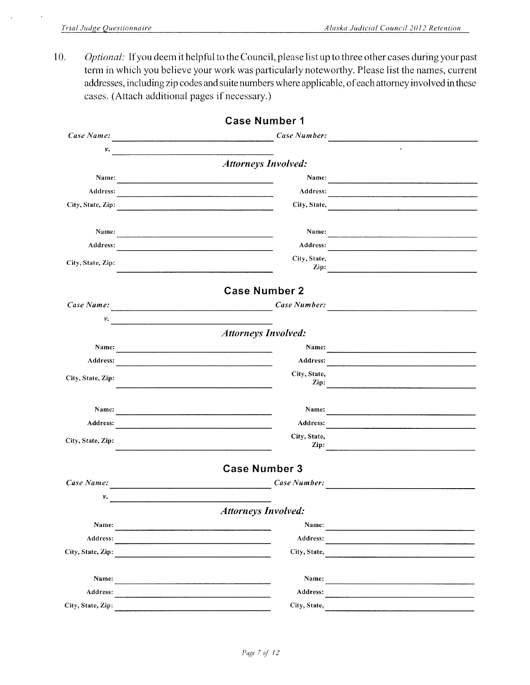$\ddot{\phantom{a}}$ 

10. Optional: If you deem it helpful to the Council, please list up to three other cases during your past term in which you believe your work was particularly noteworthy. Please list the names, current addresses, including zip codes and suite numbers where applicable, of each attorney involved in these cases. (Attach additional pages if necessary.)

|                   | <b>Case Number 1</b>                                                                                                                                                                                                           |                                                                                                                                                                                                                                |
|-------------------|--------------------------------------------------------------------------------------------------------------------------------------------------------------------------------------------------------------------------------|--------------------------------------------------------------------------------------------------------------------------------------------------------------------------------------------------------------------------------|
| Case Name:        | Case Number:                                                                                                                                                                                                                   |                                                                                                                                                                                                                                |
| v.                |                                                                                                                                                                                                                                |                                                                                                                                                                                                                                |
|                   | <b>Attorneys Involved:</b>                                                                                                                                                                                                     |                                                                                                                                                                                                                                |
| Name:             | Name:<br><u> 1980 - Jan James Barn, mars ann an t-Amerikaansk ferskeider (</u>                                                                                                                                                 | $\overline{\phantom{a}}$                                                                                                                                                                                                       |
| Address:          |                                                                                                                                                                                                                                | Address: and the contract of the contract of the contract of the contract of the contract of the contract of the contract of the contract of the contract of the contract of the contract of the contract of the contract of t |
| City, State, Zip: |                                                                                                                                                                                                                                | City, State,                                                                                                                                                                                                                   |
| Name:             | Name:                                                                                                                                                                                                                          |                                                                                                                                                                                                                                |
| Address:          | Address:                                                                                                                                                                                                                       |                                                                                                                                                                                                                                |
|                   | City, State,                                                                                                                                                                                                                   |                                                                                                                                                                                                                                |
| City, State, Zip: | Zip:<br><u> 1989 - Andrea Andrea Andrea Andrea Andrea Andrea Andrea Andrea Andrea Andrea Andrea Andrea Andrea Andrea Andr</u>                                                                                                  |                                                                                                                                                                                                                                |
|                   | <b>Case Number 2</b>                                                                                                                                                                                                           |                                                                                                                                                                                                                                |
| Case Name:        | Case Number:                                                                                                                                                                                                                   |                                                                                                                                                                                                                                |
| ν.                |                                                                                                                                                                                                                                |                                                                                                                                                                                                                                |
|                   | <b>Attorneys Involved:</b>                                                                                                                                                                                                     |                                                                                                                                                                                                                                |
| Name:             | Name:<br>the control of the control of the control of the control of the control of                                                                                                                                            |                                                                                                                                                                                                                                |
| Address:          | Address:<br><u> 1989 - Johann Stoff, amerikansk politiker (d. 1989)</u>                                                                                                                                                        |                                                                                                                                                                                                                                |
| City, State, Zip: | City, State,                                                                                                                                                                                                                   |                                                                                                                                                                                                                                |
|                   | Zip:                                                                                                                                                                                                                           | <u> 2001 - John Stein, Amerikaans en beskriuwer om de stein in de stein van de stein van de stein van de stein v</u>                                                                                                           |
| Name:             | Name:                                                                                                                                                                                                                          | <u> 1989 - Johann Barbara, martin amerikan bahasa di kacamatan di kacamatan di kacamatan di kacamatan di kacamatan </u>                                                                                                        |
| Address:          | Address:                                                                                                                                                                                                                       | <u> 1980 - John Stone, Amerikaansk politiker (</u>                                                                                                                                                                             |
| City, State, Zip: | City, State,<br>Zip:                                                                                                                                                                                                           |                                                                                                                                                                                                                                |
|                   |                                                                                                                                                                                                                                |                                                                                                                                                                                                                                |
|                   | <b>Case Number 3</b>                                                                                                                                                                                                           |                                                                                                                                                                                                                                |
| Case Name:        | Case Number:                                                                                                                                                                                                                   |                                                                                                                                                                                                                                |
| ν.                |                                                                                                                                                                                                                                |                                                                                                                                                                                                                                |
|                   | <b>Attorneys Involved:</b>                                                                                                                                                                                                     |                                                                                                                                                                                                                                |
| Name:             |                                                                                                                                                                                                                                | Name:                                                                                                                                                                                                                          |
| Address:          | Address:<br>the control of the control of the control of the control of the control of the control of                                                                                                                          |                                                                                                                                                                                                                                |
| City, State, Zip: | City, State,                                                                                                                                                                                                                   |                                                                                                                                                                                                                                |
| Name:             | Name:                                                                                                                                                                                                                          |                                                                                                                                                                                                                                |
| Address:          | Address: and the contract of the contract of the contract of the contract of the contract of the contract of the contract of the contract of the contract of the contract of the contract of the contract of the contract of t |                                                                                                                                                                                                                                |
| City, State, Zip: | City, State,                                                                                                                                                                                                                   |                                                                                                                                                                                                                                |
|                   |                                                                                                                                                                                                                                |                                                                                                                                                                                                                                |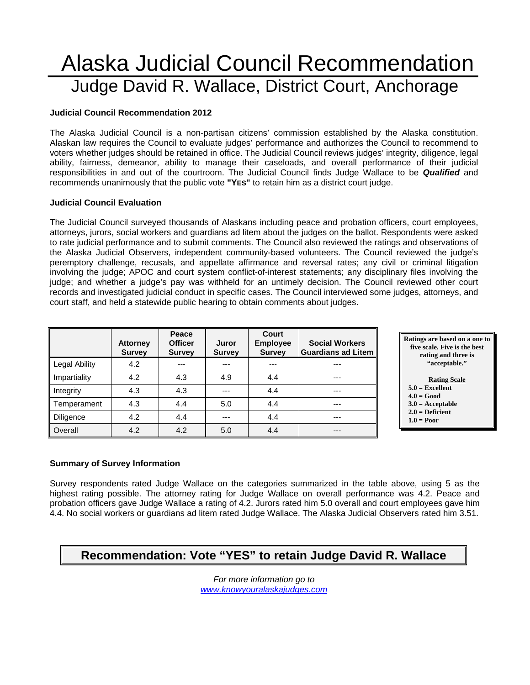# Alaska Judicial Council Recommendation Judge David R. Wallace, District Court, Anchorage

#### **Judicial Council Recommendation 2012**

The Alaska Judicial Council is a non-partisan citizens' commission established by the Alaska constitution. Alaskan law requires the Council to evaluate judges' performance and authorizes the Council to recommend to voters whether judges should be retained in office. The Judicial Council reviews judges' integrity, diligence, legal ability, fairness, demeanor, ability to manage their caseloads, and overall performance of their judicial responsibilities in and out of the courtroom. The Judicial Council finds Judge Wallace to be *Qualified* and recommends unanimously that the public vote **"YES"** to retain him as a district court judge.

#### **Judicial Council Evaluation**

The Judicial Council surveyed thousands of Alaskans including peace and probation officers, court employees, attorneys, jurors, social workers and guardians ad litem about the judges on the ballot. Respondents were asked to rate judicial performance and to submit comments. The Council also reviewed the ratings and observations of the Alaska Judicial Observers, independent community-based volunteers. The Council reviewed the judge's peremptory challenge, recusals, and appellate affirmance and reversal rates; any civil or criminal litigation involving the judge; APOC and court system conflict-of-interest statements; any disciplinary files involving the judge; and whether a judge's pay was withheld for an untimely decision. The Council reviewed other court records and investigated judicial conduct in specific cases. The Council interviewed some judges, attorneys, and court staff, and held a statewide public hearing to obtain comments about judges.

|                      | <b>Attorney</b><br><b>Survey</b> | Peace<br><b>Officer</b><br><b>Survey</b> | Juror<br><b>Survey</b> | Court<br><b>Employee</b><br><b>Survey</b> | <b>Social Workers</b><br><b>Guardians ad Litem</b> |
|----------------------|----------------------------------|------------------------------------------|------------------------|-------------------------------------------|----------------------------------------------------|
| <b>Legal Ability</b> | 4.2                              | ---                                      | ---                    |                                           | ---                                                |
| Impartiality         | 4.2                              | 4.3                                      | 4.9                    | 4.4                                       | ---                                                |
| Integrity            | 4.3                              | 4.3                                      | ---                    | 4.4                                       | ---                                                |
| Temperament          | 4.3                              | 4.4                                      | 5.0                    | 4.4                                       | ---                                                |
| Diligence            | 4.2                              | 4.4                                      | ---                    | 4.4                                       | ---                                                |
| Overall              | 4.2                              | 4.2                                      | 5.0                    | 4.4                                       | ---                                                |



#### **5.0 = Excellent**

- **4.0 = Good**
- **3.0 = Acceptable**
- **2.0 = Deficient**

#### **1.0 = Poor**

#### **Summary of Survey Information**

Survey respondents rated Judge Wallace on the categories summarized in the table above, using 5 as the highest rating possible. The attorney rating for Judge Wallace on overall performance was 4.2. Peace and probation officers gave Judge Wallace a rating of 4.2. Jurors rated him 5.0 overall and court employees gave him 4.4. No social workers or guardians ad litem rated Judge Wallace. The Alaska Judicial Observers rated him 3.51.

## **Recommendation: Vote "YES" to retain Judge David R. Wallace**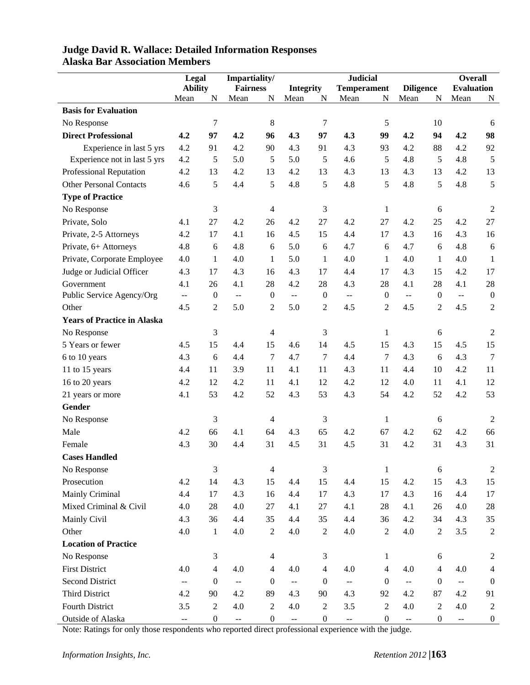|                                    | Legal                                         |                  | Impartiality/                                 |                  |                                               |                                        | <b>Judicial</b>                               |                  |                                               |                  | <b>Overall</b>           |                  |
|------------------------------------|-----------------------------------------------|------------------|-----------------------------------------------|------------------|-----------------------------------------------|----------------------------------------|-----------------------------------------------|------------------|-----------------------------------------------|------------------|--------------------------|------------------|
|                                    | <b>Ability</b>                                |                  | <b>Fairness</b>                               |                  |                                               | <b>Integrity</b><br><b>Temperament</b> |                                               |                  | <b>Diligence</b>                              |                  | <b>Evaluation</b>        |                  |
|                                    | Mean                                          | N                | Mean                                          | N                | Mean                                          | N                                      | Mean                                          | N                | Mean                                          | N                | Mean                     | N                |
| <b>Basis for Evaluation</b>        |                                               |                  |                                               |                  |                                               |                                        |                                               |                  |                                               |                  |                          |                  |
| No Response                        |                                               | $\tau$           |                                               | $8\,$            |                                               | $\tau$                                 |                                               | 5                |                                               | 10               |                          | 6                |
| <b>Direct Professional</b>         | 4.2                                           | 97               | 4.2                                           | 96               | 4.3                                           | 97                                     | 4.3                                           | 99               | 4.2                                           | 94               | 4.2                      | 98               |
| Experience in last 5 yrs           | 4.2                                           | 91               | 4.2                                           | 90               | 4.3                                           | 91                                     | 4.3                                           | 93               | 4.2                                           | 88               | 4.2                      | 92               |
| Experience not in last 5 yrs       | 4.2                                           | 5                | 5.0                                           | 5                | 5.0                                           | 5                                      | 4.6                                           | 5                | 4.8                                           | 5                | 4.8                      | 5                |
| Professional Reputation            | 4.2                                           | 13               | 4.2                                           | 13               | 4.2                                           | 13                                     | 4.3                                           | 13               | 4.3                                           | 13               | 4.2                      | 13               |
| <b>Other Personal Contacts</b>     | 4.6                                           | 5                | 4.4                                           | 5                | 4.8                                           | 5                                      | 4.8                                           | 5                | 4.8                                           | 5                | 4.8                      | 5                |
| <b>Type of Practice</b>            |                                               |                  |                                               |                  |                                               |                                        |                                               |                  |                                               |                  |                          |                  |
| No Response                        |                                               | 3                |                                               | $\overline{4}$   |                                               | 3                                      |                                               | $\mathbf{1}$     |                                               | 6                |                          | 2                |
| Private, Solo                      | 4.1                                           | 27               | 4.2                                           | 26               | 4.2                                           | 27                                     | 4.2                                           | 27               | 4.2                                           | 25               | 4.2                      | 27               |
| Private, 2-5 Attorneys             | 4.2                                           | 17               | 4.1                                           | 16               | 4.5                                           | 15                                     | 4.4                                           | 17               | 4.3                                           | 16               | 4.3                      | 16               |
| Private, 6+ Attorneys              | 4.8                                           | 6                | 4.8                                           | 6                | 5.0                                           | 6                                      | 4.7                                           | 6                | 4.7                                           | 6                | 4.8                      | 6                |
| Private, Corporate Employee        | 4.0                                           | 1                | 4.0                                           | 1                | 5.0                                           | $\mathbf{1}$                           | 4.0                                           | $\mathbf{1}$     | 4.0                                           | $\mathbf{1}$     | 4.0                      | $\mathbf{1}$     |
| Judge or Judicial Officer          | 4.3                                           | 17               | 4.3                                           | 16               | 4.3                                           | 17                                     | 4.4                                           | 17               | 4.3                                           | 15               | 4.2                      | 17               |
| Government                         | 4.1                                           | 26               | 4.1                                           | 28               | 4.2                                           | 28                                     | 4.3                                           | 28               | 4.1                                           | 28               | 4.1                      | 28               |
| Public Service Agency/Org          | $\overline{\phantom{a}}$                      | $\boldsymbol{0}$ | $\mathbb{H} \to \mathbb{H}$                   | $\boldsymbol{0}$ | $\overline{\phantom{a}}$                      | $\overline{0}$                         | $\mathcal{L}_{\mathcal{F}}$                   | $\overline{0}$   | $\mathbb{H}^{\mathbb{H}}$                     | $\overline{0}$   | $\overline{\phantom{a}}$ | $\boldsymbol{0}$ |
| Other                              | 4.5                                           | $\overline{2}$   | 5.0                                           | $\mathfrak{2}$   | 5.0                                           | $\overline{2}$                         | 4.5                                           | $\overline{2}$   | 4.5                                           | $\overline{2}$   | 4.5                      | $\overline{2}$   |
| <b>Years of Practice in Alaska</b> |                                               |                  |                                               |                  |                                               |                                        |                                               |                  |                                               |                  |                          |                  |
| No Response                        |                                               | 3                |                                               | 4                |                                               | 3                                      |                                               | $\mathbf{1}$     |                                               | $\boldsymbol{6}$ |                          | 2                |
| 5 Years or fewer                   | 4.5                                           | 15               | 4.4                                           | 15               | 4.6                                           | 14                                     | 4.5                                           | 15               | 4.3                                           | 15               | 4.5                      | 15               |
| 6 to 10 years                      | 4.3                                           | 6                | 4.4                                           | $\tau$           | 4.7                                           | $\tau$                                 | 4.4                                           | 7                | 4.3                                           | 6                | 4.3                      | $\overline{7}$   |
| 11 to 15 years                     | 4.4                                           | 11               | 3.9                                           | 11               | 4.1                                           | 11                                     | 4.3                                           | 11               | 4.4                                           | 10               | 4.2                      | 11               |
| 16 to 20 years                     | 4.2                                           | 12               | 4.2                                           | 11               | 4.1                                           | 12                                     | 4.2                                           | 12               | 4.0                                           | 11               | 4.1                      | 12               |
| 21 years or more                   | 4.1                                           | 53               | 4.2                                           | 52               | 4.3                                           | 53                                     | 4.3                                           | 54               | 4.2                                           | 52               | 4.2                      | 53               |
| Gender                             |                                               |                  |                                               |                  |                                               |                                        |                                               |                  |                                               |                  |                          |                  |
| No Response                        |                                               | 3                |                                               | 4                |                                               | 3                                      |                                               | $\mathbf{1}$     |                                               | 6                |                          | $\overline{2}$   |
| Male                               | 4.2                                           | 66               | 4.1                                           | 64               | 4.3                                           | 65                                     | 4.2                                           | 67               | 4.2                                           | 62               | 4.2                      | 66               |
| Female                             | 4.3                                           | 30               | 4.4                                           | 31               | 4.5                                           | 31                                     | 4.5                                           | 31               | 4.2                                           | 31               | 4.3                      | 31               |
| <b>Cases Handled</b>               |                                               |                  |                                               |                  |                                               |                                        |                                               |                  |                                               |                  |                          |                  |
| No Response                        |                                               | $\mathfrak{Z}$   |                                               | $\overline{4}$   |                                               | 3                                      |                                               | $\mathbf{1}$     |                                               | $6\,$            |                          | $\overline{2}$   |
| Prosecution                        | 4.2                                           | 14               | 4.3                                           | 15               | 4.4                                           | 15                                     | 4.4                                           | 15               | 4.2                                           | 15               | 4.3                      | 15               |
| Mainly Criminal                    | 4.4                                           | 17               | 4.3                                           | 16               | 4.4                                           | 17                                     | 4.3                                           | 17               | 4.3                                           | 16               | 4.4                      | 17               |
| Mixed Criminal & Civil             | 4.0                                           | 28               | 4.0                                           | 27               | 4.1                                           | 27                                     | 4.1                                           | 28               | 4.1                                           | 26               | 4.0                      | $28\,$           |
| Mainly Civil                       | 4.3                                           | 36               | 4.4                                           | 35               | 4.4                                           | 35                                     | 4.4                                           | 36               | 4.2                                           | 34               | 4.3                      | 35               |
| Other                              | 4.0                                           | $\mathbf{1}$     | 4.0                                           | $\sqrt{2}$       | 4.0                                           | $\overline{2}$                         | 4.0                                           | $\sqrt{2}$       | 4.0                                           | $\mathbf{2}$     | 3.5                      | $\sqrt{2}$       |
| <b>Location of Practice</b>        |                                               |                  |                                               |                  |                                               |                                        |                                               |                  |                                               |                  |                          |                  |
| No Response                        |                                               | 3                |                                               | $\overline{4}$   |                                               | $\mathfrak{Z}$                         |                                               | $\mathbf{1}$     |                                               | 6                |                          | $\overline{2}$   |
| <b>First District</b>              | 4.0                                           | $\overline{4}$   | 4.0                                           | 4                | 4.0                                           | $\overline{4}$                         | 4.0                                           | $\overline{4}$   | 4.0                                           | $\overline{4}$   | 4.0                      | $\overline{4}$   |
| <b>Second District</b>             | $\mathord{\hspace{1pt}\text{--}\hspace{1pt}}$ | $\boldsymbol{0}$ | $\mathord{\hspace{1pt}\text{--}\hspace{1pt}}$ | $\boldsymbol{0}$ | $\mathord{\hspace{1pt}\text{--}\hspace{1pt}}$ | $\boldsymbol{0}$                       | $\mathord{\hspace{1pt}\text{--}\hspace{1pt}}$ | $\boldsymbol{0}$ | $\mathord{\hspace{1pt}\text{--}\hspace{1pt}}$ | $\boldsymbol{0}$ | $\overline{\phantom{a}}$ | $\boldsymbol{0}$ |
| <b>Third District</b>              | 4.2                                           | 90               | 4.2                                           | 89               | 4.3                                           | 90                                     | 4.3                                           | 92               | 4.2                                           | 87               | 4.2                      | 91               |
| Fourth District                    | 3.5                                           | $\boldsymbol{2}$ | 4.0                                           | $\mathbf{2}$     | 4.0                                           | $\boldsymbol{2}$                       | 3.5                                           | $\overline{2}$   | 4.0                                           | $\overline{2}$   | 4.0                      | $\overline{2}$   |
| Outside of Alaska                  | $\mathord{\hspace{1pt}\text{--}\hspace{1pt}}$ | $\boldsymbol{0}$ | $\mathbb{L} \mathbb{L}$                       | $\boldsymbol{0}$ | $\overline{\phantom{a}}$                      | $\boldsymbol{0}$                       | $\overline{\phantom{a}}$                      | $\boldsymbol{0}$ | $\mathbb{Z}^2$                                | $\overline{0}$   | $\mathbb{L}^{\perp}$     | $\boldsymbol{0}$ |

#### **Judge David R. Wallace: Detailed Information Responses Alaska Bar Association Members**

Note: Ratings for only those respondents who reported direct professional experience with the judge.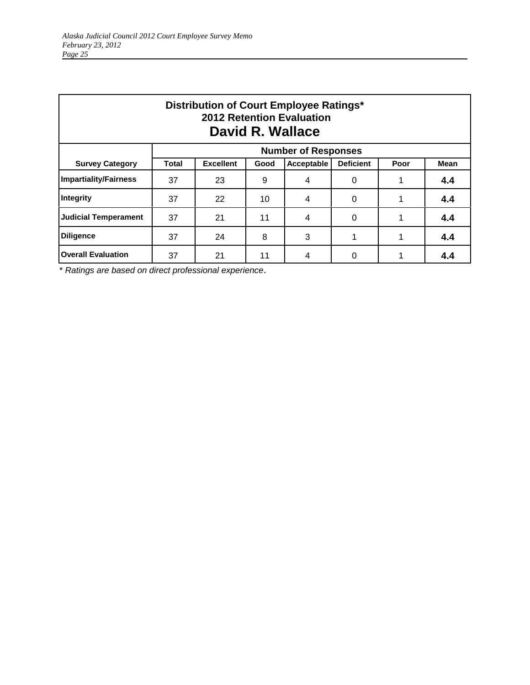| Distribution of Court Employee Ratings*<br><b>2012 Retention Evaluation</b><br>David R. Wallace |       |                  |      |                            |                  |      |             |  |  |  |
|-------------------------------------------------------------------------------------------------|-------|------------------|------|----------------------------|------------------|------|-------------|--|--|--|
|                                                                                                 |       |                  |      | <b>Number of Responses</b> |                  |      |             |  |  |  |
| <b>Survey Category</b>                                                                          | Total | <b>Excellent</b> | Good | Acceptable                 | <b>Deficient</b> | Poor | <b>Mean</b> |  |  |  |
| <b>Impartiality/Fairness</b>                                                                    | 37    | 23               | 9    | 4                          | 0                |      | 4.4         |  |  |  |
| Integrity                                                                                       | 37    | 22               | 10   | 4                          | 0                |      | 4.4         |  |  |  |
| <b>Judicial Temperament</b>                                                                     | 37    | 21               | 11   | 4                          | 0                |      | 4.4         |  |  |  |
| <b>Diligence</b>                                                                                | 37    | 24               | 8    | 3                          |                  |      | 4.4         |  |  |  |
| <b>Overall Evaluation</b>                                                                       | 37    | 21               | 11   | 4                          | $\Omega$         |      | 4.4         |  |  |  |

\* *Ratings are based on direct professional experience*.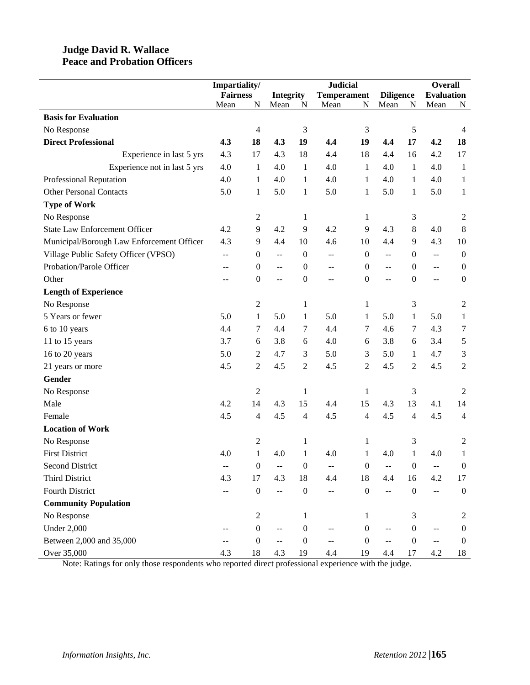#### **Judge David R. Wallace Peace and Probation Officers**

|                                           | Impartiality/   |                  |                                           |                  | <b>Judicial</b>    |                  |                          |                  | <b>Overall</b>            |                  |
|-------------------------------------------|-----------------|------------------|-------------------------------------------|------------------|--------------------|------------------|--------------------------|------------------|---------------------------|------------------|
|                                           | <b>Fairness</b> |                  | <b>Integrity</b>                          |                  | <b>Temperament</b> |                  | <b>Diligence</b>         |                  | <b>Evaluation</b>         |                  |
|                                           | Mean            | $\mathbf N$      | Mean                                      | N                | Mean               | N                | Mean                     | $\mathbf N$      | Mean                      | N                |
| <b>Basis for Evaluation</b>               |                 |                  |                                           |                  |                    |                  |                          |                  |                           |                  |
| No Response                               |                 | 4                |                                           | $\mathfrak 3$    |                    | 3                |                          | 5                |                           | $\overline{4}$   |
| <b>Direct Professional</b>                | 4.3             | 18               | 4.3                                       | 19               | 4.4                | 19               | 4,4                      | 17               | 4.2                       | 18               |
| Experience in last 5 yrs                  | 4.3             | 17               | 4.3                                       | 18               | 4.4                | 18               | 4.4                      | 16               | 4.2                       | 17               |
| Experience not in last 5 yrs              | 4.0             | 1                | 4.0                                       | 1                | 4.0                | 1                | 4.0                      | 1                | 4.0                       | $\mathbf{1}$     |
| Professional Reputation                   | 4.0             | $\mathbf{1}$     | 4.0                                       | $\mathbf{1}$     | 4.0                | 1                | 4.0                      | 1                | 4.0                       | 1                |
| <b>Other Personal Contacts</b>            | 5.0             | $\mathbf{1}$     | 5.0                                       | $\mathbf{1}$     | 5.0                | $\mathbf{1}$     | 5.0                      | $\mathbf{1}$     | 5.0                       | $\mathbf{1}$     |
| <b>Type of Work</b>                       |                 |                  |                                           |                  |                    |                  |                          |                  |                           |                  |
| No Response                               |                 | $\boldsymbol{2}$ |                                           | $\mathbf{1}$     |                    | 1                |                          | 3                |                           | $\overline{2}$   |
| <b>State Law Enforcement Officer</b>      | 4.2             | 9                | 4.2                                       | 9                | 4.2                | 9                | 4.3                      | 8                | 4.0                       | 8                |
| Municipal/Borough Law Enforcement Officer | 4.3             | 9                | 4.4                                       | 10               | 4.6                | 10               | 4.4                      | 9                | 4.3                       | 10               |
| Village Public Safety Officer (VPSO)      | $-$             | $\boldsymbol{0}$ | $\mathrel{{-}\mathrel{{-}}\mathrel{{-}}}$ | $\boldsymbol{0}$ | --                 | $\boldsymbol{0}$ | $\overline{\phantom{m}}$ | $\boldsymbol{0}$ | $\overline{\phantom{m}}$  | $\boldsymbol{0}$ |
| Probation/Parole Officer                  | --              | $\boldsymbol{0}$ | $-$                                       | $\boldsymbol{0}$ | --                 | $\boldsymbol{0}$ | $\overline{a}$           | $\mathbf{0}$     | $\overline{a}$            | $\boldsymbol{0}$ |
| Other                                     | --              | $\boldsymbol{0}$ | $-$                                       | $\boldsymbol{0}$ | --                 | $\boldsymbol{0}$ | $\overline{a}$           | $\mathbf{0}$     | $\pm$ $\pm$               | $\boldsymbol{0}$ |
| <b>Length of Experience</b>               |                 |                  |                                           |                  |                    |                  |                          |                  |                           |                  |
| No Response                               |                 | $\overline{c}$   |                                           | 1                |                    | 1                |                          | 3                |                           | $\overline{2}$   |
| 5 Years or fewer                          | 5.0             | $\mathbf{1}$     | 5.0                                       | $\mathbf{1}$     | 5.0                | 1                | 5.0                      | 1                | 5.0                       | $\mathbf{1}$     |
| 6 to 10 years                             | 4.4             | 7                | 4.4                                       | 7                | 4.4                | 7                | 4.6                      | 7                | 4.3                       | $\tau$           |
| 11 to 15 years                            | 3.7             | 6                | 3.8                                       | 6                | 4.0                | 6                | 3.8                      | 6                | 3.4                       | $\sqrt{5}$       |
| 16 to 20 years                            | 5.0             | 2                | 4.7                                       | 3                | 5.0                | 3                | 5.0                      | 1                | 4.7                       | $\mathfrak 3$    |
| 21 years or more                          | 4.5             | $\overline{c}$   | 4.5                                       | $\mathfrak{2}$   | 4.5                | $\overline{c}$   | 4.5                      | $\overline{2}$   | 4.5                       | $\sqrt{2}$       |
| Gender                                    |                 |                  |                                           |                  |                    |                  |                          |                  |                           |                  |
| No Response                               |                 | $\overline{c}$   |                                           | $\mathbf{1}$     |                    | 1                |                          | 3                |                           | 2                |
| Male                                      | 4.2             | 14               | 4.3                                       | 15               | 4.4                | 15               | 4.3                      | 13               | 4.1                       | 14               |
| Female                                    | 4.5             | 4                | 4.5                                       | $\overline{4}$   | 4.5                | 4                | 4.5                      | $\overline{4}$   | 4.5                       | $\overline{4}$   |
| <b>Location of Work</b>                   |                 |                  |                                           |                  |                    |                  |                          |                  |                           |                  |
| No Response                               |                 | $\overline{c}$   |                                           | $\mathbf{1}$     |                    | $\mathbf{1}$     |                          | 3                |                           | 2                |
| <b>First District</b>                     | 4.0             | $\mathbf{1}$     | 4.0                                       | $\mathbf{1}$     | 4.0                | 1                | 4.0                      | 1                | 4.0                       | 1                |
| <b>Second District</b>                    |                 | $\boldsymbol{0}$ |                                           | $\boldsymbol{0}$ |                    | $\boldsymbol{0}$ |                          | $\overline{0}$   |                           | $\boldsymbol{0}$ |
| Third District                            | 4.3             | 17               | 4.3                                       | 18               | 4.4                | 18               | 4.4                      | 16               | 4.2                       | 17               |
| <b>Fourth District</b>                    |                 | $\boldsymbol{0}$ | $\overline{\phantom{a}}$                  | $\boldsymbol{0}$ | --                 | $\boldsymbol{0}$ | $\mathbf{u}$             | $\boldsymbol{0}$ | $\overline{a}$            | $\mathbf{0}$     |
| <b>Community Population</b>               |                 |                  |                                           |                  |                    |                  |                          |                  |                           |                  |
| No Response                               |                 | $\overline{c}$   |                                           | $\mathbf{1}$     |                    | 1                |                          | 3                |                           | 2                |
| <b>Under 2,000</b>                        |                 | $\boldsymbol{0}$ | $-$                                       | $\boldsymbol{0}$ |                    | $\boldsymbol{0}$ |                          | $\boldsymbol{0}$ |                           | $\mathbf{0}$     |
| Between 2,000 and 35,000                  |                 | $\boldsymbol{0}$ | $-$                                       | $\boldsymbol{0}$ | --                 | $\boldsymbol{0}$ | $\overline{a}$           | $\mathbf{0}$     | $\mathbb{L}^{\mathbb{L}}$ | $\mathbf{0}$     |
| Over 35,000                               | 4.3             | $18\,$           | 4.3                                       | 19               | 4.4                | 19               | 4.4                      | 17               | 4.2                       | 18               |

Note: Ratings for only those respondents who reported direct professional experience with the judge.